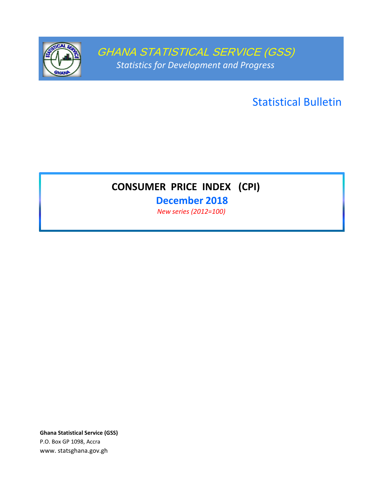

GHANA STATISTICAL SERVICE (GSS) *Statistics for Development and Progress*

Statistical Bulletin

# **CONSUMER PRICE INDEX (CPI)**

**December 2018** *New series (2012=100)* 

**Ghana Statistical Service (GSS)** P.O. Box GP 1098, Accra www. statsghana.gov.gh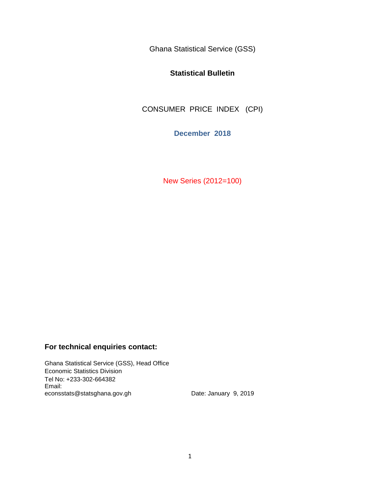Ghana Statistical Service (GSS)

# **Statistical Bulletin**

CONSUMER PRICE INDEX (CPI)

**December 2018**

New Series (2012=100)

# **For technical enquiries contact:**

Ghana Statistical Service (GSS), Head Office Economic Statistics Division Tel No: +233-302-664382 Email: econsstats@statsghana.gov.gh Date: January 9, 2019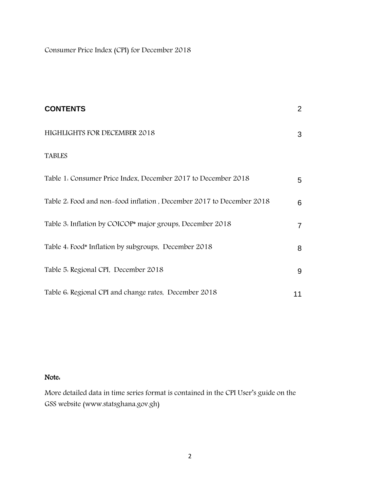Consumer Price Index (CPI) for December 2018

| <b>CONTENTS</b>                                                      | $\overline{2}$ |
|----------------------------------------------------------------------|----------------|
| HIGHLIGHTS FOR DECEMBER 2018                                         | 3              |
| <b>TABLES</b>                                                        |                |
| Table 1. Consumer Price Index, December 2017 to December 2018        | 5              |
| Table 2. Food and non-food inflation, December 2017 to December 2018 | 6              |
| Table 3. Inflation by COICOP* major groups, December 2018            | $\mathbf{7}$   |
| Table 4. Food* Inflation by subgroups, December 2018                 | 8              |
| Table 5. Regional CPI, December 2018                                 | 9              |
| Table 6. Regional CPI and change rates, December 2018                | 11             |

# Note:

More detailed data in time series format is contained in the CPI User's guide on the GSS website (www.statsghana.gov.gh)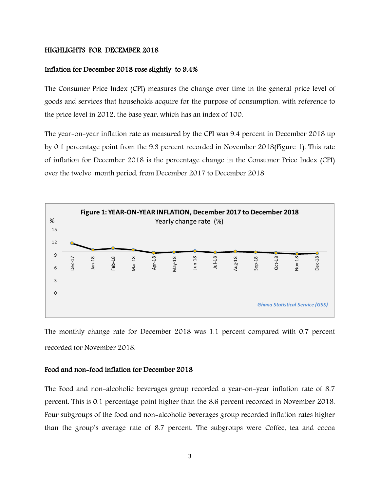#### HIGHLIGHTS FOR DECEMBER 2018

## Inflation for December 2018 rose slightly to 9.4%

The Consumer Price Index (CPI) measures the change over time in the general price level of goods and services that households acquire for the purpose of consumption, with reference to the price level in 2012, the base year, which has an index of 100.

The year-on-year inflation rate as measured by the CPI was 9.4 percent in December 2018 up by 0.1 percentage point from the 9.3 percent recorded in November 2018(Figure 1). This rate of inflation for December 2018 is the percentage change in the Consumer Price Index (CPI) over the twelve-month period, from December 2017 to December 2018.



The monthly change rate for December 2018 was 1.1 percent compared with 0.7 percent recorded for November 2018.

## Food and non-food inflation for December 2018

The Food and non-alcoholic beverages group recorded a year-on-year inflation rate of 8.7 percent. This is 0.1 percentage point higher than the 8.6 percent recorded in November 2018. Four subgroups of the food and non-alcoholic beverages group recorded inflation rates higher than the group's average rate of 8.7 percent. The subgroups were Coffee, tea and cocoa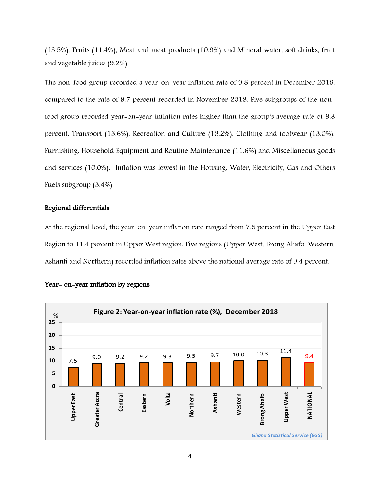(13.5%), Fruits (11.4%), Meat and meat products (10.9%) and Mineral water, soft drinks, fruit and vegetable juices (9.2%).

The non-food group recorded a year-on-year inflation rate of 9.8 percent in December 2018, compared to the rate of 9.7 percent recorded in November 2018. Five subgroups of the nonfood group recorded year-on-year inflation rates higher than the group's average rate of 9.8 percent. Transport (13.6%), Recreation and Culture (13.2%), Clothing and footwear (13.0%), Furnishing, Household Equipment and Routine Maintenance (11.6%) and Miscellaneous goods and services (10.0%). Inflation was lowest in the Housing, Water, Electricity, Gas and Others Fuels subgroup (3.4%).

#### Regional differentials

At the regional level, the year-on-year inflation rate ranged from 7.5 percent in the Upper East Region to 11.4 percent in Upper West region. Five regions (Upper West, Brong Ahafo, Western, Ashanti and Northern) recorded inflation rates above the national average rate of 9.4 percent.



#### Year- on-year inflation by regions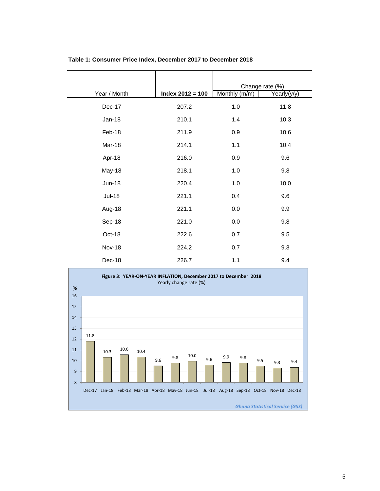| Year / Month  | $Index 2012 = 100$ | Change rate (%)<br>Monthly (m/m) | Yearly(y/y) |
|---------------|--------------------|----------------------------------|-------------|
|               |                    |                                  |             |
| Dec-17        | 207.2              | 1.0                              | 11.8        |
| Jan-18        | 210.1              | 1.4                              | 10.3        |
| Feb-18        | 211.9              | 0.9                              | 10.6        |
| Mar-18        | 214.1              | 1.1                              | 10.4        |
| Apr-18        | 216.0              | 0.9                              | 9.6         |
| May-18        | 218.1              | 1.0                              | 9.8         |
| <b>Jun-18</b> | 220.4              | 1.0                              | 10.0        |
| <b>Jul-18</b> | 221.1              | 0.4                              | 9.6         |
| Aug-18        | 221.1              | 0.0                              | 9.9         |
| Sep-18        | 221.0              | 0.0                              | 9.8         |
| Oct-18        | 222.6              | 0.7                              | 9.5         |
| <b>Nov-18</b> | 224.2              | 0.7                              | 9.3         |
| Dec-18        | 226.7              | 1.1                              | 9.4         |

#### **Table 1: Consumer Price Index, December 2017 to December 2018**

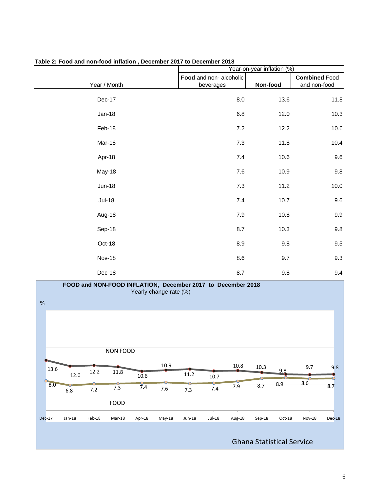|               | Year-on-year inflation (%) |          |                      |
|---------------|----------------------------|----------|----------------------|
|               | Food and non-alcoholic     |          | <b>Combined Food</b> |
| Year / Month  | beverages                  | Non-food | and non-food         |
| Dec-17        | 8.0                        | 13.6     | 11.8                 |
| $Jan-18$      | 6.8                        | 12.0     | 10.3                 |
| Feb-18        | $7.2\,$                    | 12.2     | 10.6                 |
| Mar-18        | $7.3\,$                    | 11.8     | 10.4                 |
| Apr-18        | $7.4$                      | 10.6     | 9.6                  |
| May-18        | $7.6\,$                    | 10.9     | $9.8\,$              |
| $Jun-18$      | $7.3$                      | 11.2     | 10.0                 |
| <b>Jul-18</b> | $7.4$                      | 10.7     | 9.6                  |
| Aug-18        | $7.9$                      | 10.8     | $9.9\,$              |
| Sep-18        | 8.7                        | 10.3     | $9.8\,$              |
| Oct-18        | 8.9                        | 9.8      | $9.5\,$              |
| <b>Nov-18</b> | 8.6                        | 9.7      | 9.3                  |
| Dec-18        | 8.7                        | 9.8      | 9.4                  |

**Table 2: Food and non-food inflation , December 2017 to December 2018**

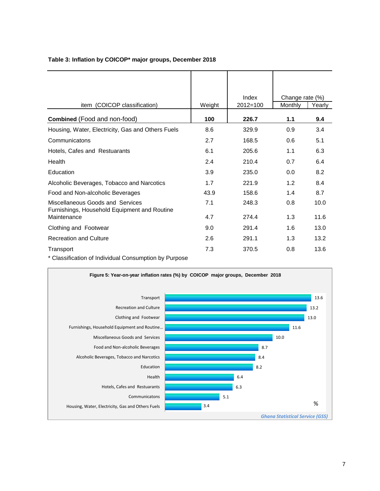| item (COICOP classification)                                                     | Weight | Index<br>$2012 = 100$ | Change rate (%)<br>Monthly | Yearly |
|----------------------------------------------------------------------------------|--------|-----------------------|----------------------------|--------|
| <b>Combined</b> (Food and non-food)                                              | 100    | 226.7                 | 1.1                        | 9.4    |
| Housing, Water, Electricity, Gas and Others Fuels                                | 8.6    | 329.9                 | 0.9                        | 3.4    |
| Communicatons                                                                    | 2.7    | 168.5                 | 0.6                        | 5.1    |
| Hotels, Cafes and Restuarants                                                    | 6.1    | 205.6                 | 1.1                        | 6.3    |
| Health                                                                           | 2.4    | 210.4                 | 0.7                        | 6.4    |
| Education                                                                        | 3.9    | 235.0                 | 0.0                        | 8.2    |
| Alcoholic Beverages, Tobacco and Narcotics                                       | 1.7    | 221.9                 | 1.2                        | 8.4    |
| Food and Non-alcoholic Beverages                                                 | 43.9   | 158.6                 | 1.4                        | 8.7    |
| Miscellaneous Goods and Services<br>Furnishings, Household Equipment and Routine | 7.1    | 248.3                 | 0.8                        | 10.0   |
| Maintenance                                                                      | 4.7    | 274.4                 | 1.3                        | 11.6   |
| Clothing and Footwear                                                            | 9.0    | 291.4                 | 1.6                        | 13.0   |
| <b>Recreation and Culture</b>                                                    | 2.6    | 291.1                 | 1.3                        | 13.2   |
| Transport                                                                        | 7.3    | 370.5                 | 0.8                        | 13.6   |

## **Table 3: Inflation by COICOP\* major groups, December 2018**

\* Classification of Individual Consumption by Purpose

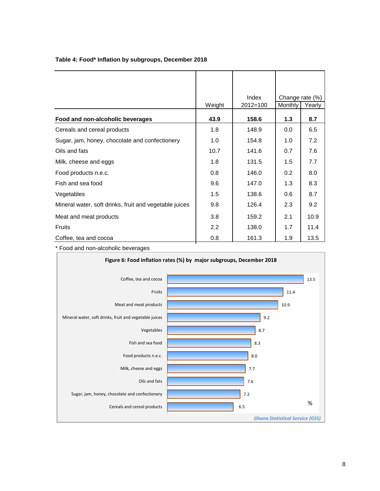|                                                        |                  | Index    | Change rate (%) |        |
|--------------------------------------------------------|------------------|----------|-----------------|--------|
|                                                        | Weight           | 2012=100 | Monthly         | Yearly |
| Food and non-alcoholic beverages                       | 43.9             | 158.6    | 1.3             | 8.7    |
| Cereals and cereal products                            | 1.8              | 148.9    | 0.0             | 6.5    |
| Sugar, jam, honey, chocolate and confectionery         | 1.0              | 154.8    | 1.0             | 7.2    |
| Oils and fats                                          | 10.7             | 141.6    | 0.7             | 7.6    |
| Milk, cheese and eggs                                  | 1.8              | 131.5    | 1.5             | 7.7    |
| Food products n.e.c.                                   | 0.8              | 146.0    | 0.2             | 8.0    |
| Fish and sea food                                      | 9.6              | 147.0    | 1.3             | 8.3    |
| Vegetables                                             | 1.5              | 138.6    | 0.6             | 8.7    |
| Mineral water, soft drinks, fruit and vegetable juices | 9.8              | 126.4    | 2.3             | 9.2    |
| Meat and meat products                                 | 3.8              | 159.2    | 2.1             | 10.9   |
| <b>Fruits</b>                                          | $2.2\phantom{0}$ | 138.0    | 1.7             | 11.4   |
| Coffee, tea and cocoa                                  | 0.8              | 161.3    | 1.9             | 13.5   |

## **Table 4: Food\* Inflation by subgroups, December 2018**

\* Food and non-alcoholic beverages

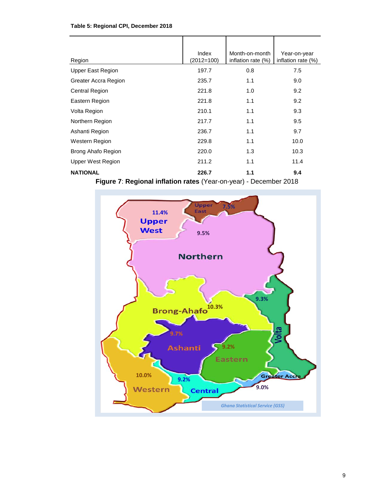| Table 5: Regional CPI, December 2018 |  |  |  |
|--------------------------------------|--|--|--|
|--------------------------------------|--|--|--|

| Region                                          | Index<br>$(2012=100)$ | Month-on-month<br>inflation rate (%) | Year-on-year<br>inflation rate $(\%)$ |
|-------------------------------------------------|-----------------------|--------------------------------------|---------------------------------------|
| <b>Upper East Region</b>                        | 197.7                 | 0.8                                  | 7.5                                   |
| Greater Accra Region                            | 235.7                 | 1.1                                  | 9.0                                   |
| <b>Central Region</b>                           | 221.8                 | 1.0                                  | 9.2                                   |
| Eastern Region                                  | 221.8                 | 1.1                                  | 9.2                                   |
| Volta Region                                    | 210.1                 | 1.1                                  | 9.3                                   |
| Northern Region                                 | 217.7                 | 1.1                                  | 9.5                                   |
| Ashanti Region                                  | 236.7                 | 1.1                                  | 9.7                                   |
| Western Region                                  | 229.8                 | 1.1                                  | 10.0                                  |
| Brong Ahafo Region                              | 220.0                 | 1.3                                  | 10.3                                  |
| <b>Upper West Region</b>                        | 211.2                 | 1.1                                  | 11.4                                  |
| <b>NATIONAL</b>                                 | 226.7                 | 1.1                                  | 9.4                                   |
| والمحالة وبالحاجب والمراد<br>$\lambda$<br>7. D. |                       |                                      |                                       |